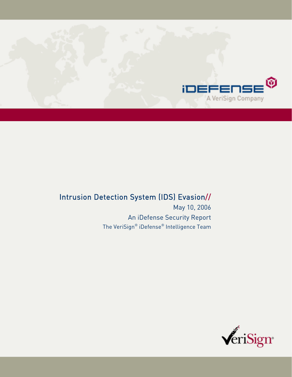

# Intrusion Detection System (IDS) Evasion//

May 10, 2006 An iDefense Security Report The VeriSign® iDefense® Intelligence Team

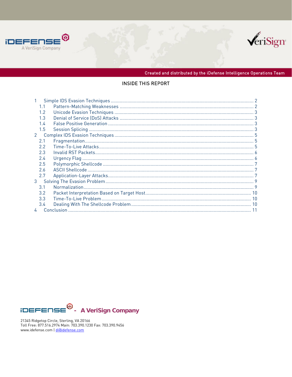



Created and distributed by the iDefense Intelligence Operations Team

#### INSIDE THIS REPORT

|   | 1.1           |  |
|---|---------------|--|
|   | 1.2           |  |
|   | 1.3           |  |
|   | 1.4           |  |
|   | 1.5           |  |
| 2 |               |  |
|   | 2.1           |  |
|   | $2.2^{\circ}$ |  |
|   | 2.3           |  |
|   | 2.4           |  |
|   | 2.5           |  |
|   | 2.6           |  |
|   | 2.7           |  |
| 3 |               |  |
|   | 3.1           |  |
|   | 3.2           |  |
|   | 3.3           |  |
|   | 3.4           |  |
|   | 4             |  |



21345 Ridgetop Circle, Sterling, VA 20166<br>Toll Free: 877.516.2974 Main: 703.390.1230 Fax: 703.390.9456 www.idefense.com | di@idefense.com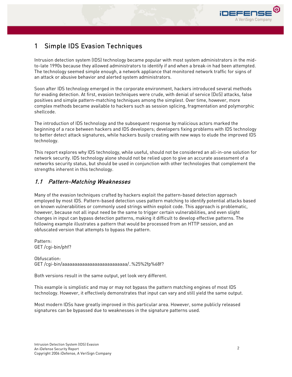

## 1 Simple IDS Evasion Techniques

Intrusion detection system (IDS) technology became popular with most system administrators in the midto-late 1990s because they allowed administrators to identify if and when a break-in had been attempted. The technology seemed simple enough, a network appliance that monitored network traffic for signs of an attack or abusive behavior and alerted system administrators.

Soon after IDS technology emerged in the corporate environment, hackers introduced several methods for evading detection. At first, evasion techniques were crude, with denial of service (DoS) attacks, false positives and simple pattern-matching techniques among the simplest. Over time, however, more complex methods became available to hackers such as session splicing, fragmentation and polymorphic shellcode.

The introduction of IDS technology and the subsequent response by malicious actors marked the beginning of a race between hackers and IDS developers; developers fixing problems with IDS technology to better detect attack signatures, while hackers busily creating with new ways to elude the improved IDS technology.

This report explores why IDS technology, while useful, should not be considered an all-in-one solution for network security. IDS technology alone should not be relied upon to give an accurate assessment of a networks security status, but should be used in conjunction with other technologies that complement the strengths inherent in this technology.

#### 1.1 Pattern-Matching Weaknesses

Many of the evasion techniques crafted by hackers exploit the pattern-based detection approach employed by most IDS. Pattern-based detection uses pattern matching to identify potential attacks based on known vulnerabilities or commonly used strings within exploit code. This approach is problematic, however, because not all input need be the same to trigger certain vulnerabilities, and even slight changes in input can bypass detection patterns, making it difficult to develop effective patterns. The following example illustrates a pattern that would be processed from an HTTP session, and an obfuscated version that attempts to bypass the pattern.

Pattern: GET /cgi-bin/phf?

Obfuscation: GET /cgi-bin/aaaaaaaaaaaaaaaaaaaaaaaaaa/..%25%2fp%68f?

Both versions result in the same output, yet look very different.

This example is simplistic and may or may not bypass the pattern matching engines of most IDS technology. However, it effectively demonstrates that input can vary and still yield the same output.

Most modern IDSs have greatly improved in this particular area. However, some publicly released signatures can be bypassed due to weaknesses in the signature patterns used.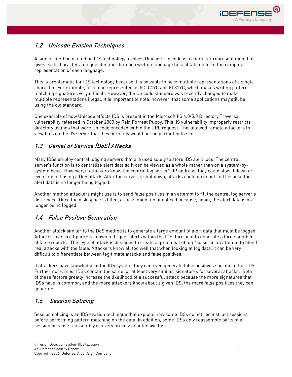

#### 1.2 Unicode Evasion Techniques

A similar method of eluding IDS technology involves Unicode. Unicode is a character representation that gives each character a unique identifier for each written language to facilitate uniform the computer representation of each language.

This is problematic for IDS technology because it is possible to have multiple representations of a single character. For example, '\' can be represented as 5C, C19C and E0819C, which makes writing pattern matching signatures very difficult. However, the Unicode standard was recently changed to make multiple representations illegal. It is important to note, however, that some applications may still be using the old standard.

One example of how Unicode affects IDS is present in the Microsoft IIS 4.0/5.0 Directory Traversal vulnerability released in October 2000 by Rain Forrest Puppy. This IIS vulnerability improperly restricts directory listings that were Unicode encoded within the URL request. This allowed remote attackers to view files on the IIS server that they normally would not be permitted to see.

#### 1.3 Denial of Service (DoS) Attacks

Many IDSs employ central logging servers that are used solely to store IDS alert logs. The central server's function is to centralize alert data so it can be viewed as a whole rather than on a system-bysystem basis. However, if attackers know the central log server's IP address, they could slow it down or even crash it using a DoS attack. After the server is shut down, attacks could go unnoticed because the alert data is no longer being logged.

Another method attackers might use is to send false positives in an attempt to fill the central log server's disk space. Once the disk space is filled, attacks might go unnoticed because, again, the alert data is no longer being logged.

#### 1.4 False Positive Generation

Another attack similar to the DoS method is to generate a large amount of alert data that must be logged. Attackers can craft packets known to trigger alerts within the IDS, forcing it to generate a large number of false reports. This type of attack is designed to create a great deal of log "noise" in an attempt to blend real attacks with the false. Attackers know all too well that when looking at log data, it can be very difficult to differentiate between legitimate attacks and false positives.

If attackers have knowledge of the IDS system, they can even generate false positives specific to that IDS. Furthermore, most IDSs contain the same, or at least very similar, signatures for several attacks. Both of these factors greatly increase the likelihood of a successful attack because the more signatures that IDSs have in common, and the more attackers know about a given IDS, the more false positives they can generate.

#### 1.5 Session Splicing

Session splicing is an IDS evasion technique that exploits how some IDSs do not reconstruct sessions before performing pattern matching on the data. In addition, some IDSs only reassemble parts of a session because reassembly is a very processor-intensive task.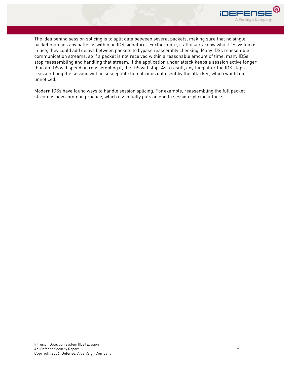

The idea behind session splicing is to split data between several packets, making sure that no single packet matches any patterns within an IDS signature. Furthermore, if attackers know what IDS system is in use, they could add delays between packets to bypass reassembly checking. Many IDSs reassemble communication streams, so if a packet is not received within a reasonable amount of time, many IDSs stop reassembling and handling that stream. If the application under attack keeps a session active longer than an IDS will spend on reassembling it, the IDS will stop. As a result, anything after the IDS stops reassembling the session will be susceptible to malicious data sent by the attacker, which would go unnoticed.

Modern IDSs have found ways to handle session splicing. For example, reassembling the full packet stream is now common practice, which essentially puts an end to session splicing attacks.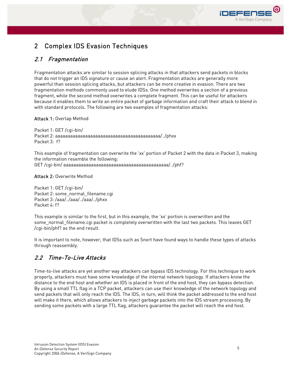

## 2 Complex IDS Evasion Techniques

#### 2.1 Fragmentation

Fragmentation attacks are similar to session splicing attacks in that attackers send packets in blocks that do not trigger an IDS signature or cause an alert. Fragmentation attacks are generally more powerful than session splicing attacks, but attackers can be more creative in evasion. There are two fragmentation methods commonly used to elude IDSs. One method overwrites a section of a previous fragment, while the second method overwrites a complete fragment. This can be useful for attackers because it enables them to write an entire packet of garbage information and craft their attack to blend in with standard protocols. The following are two examples of fragmentation attacks:

#### Attack 1: Overlap Method

Packet 1: GET /cgi-bin/ Packet 2: aaaaaaaaaaaaaaaaaaaaaaaaaaaaaaaaaaaaaaaaaa/../phxx Packet 3: f?

This example of fragmentation can overwrite the 'xx' portion of Packet 2 with the data in Packet 3, making the information resemble the following: GET /cgi-bin/ aaaaaaaaaaaaaaaaaaaaaaaaaaaaaaaaaaaaaaaaaa/../phf?

#### Attack 2: Overwrite Method

Packet 1: GET /cgi-bin/ Packet 2: some\_normal\_filename.cgi Packet 3: /aaa/../aaa/../aaa/../phxx Packet 4: f?

This example is similar to the first, but in this example, the 'xx' portion is overwritten and the some\_normal\_filename.cgi packet is completely overwritten with the last two packets. This leaves GET /cgi-bin/phf? as the end result.

It is important to note, however, that IDSs such as Snort have found ways to handle these types of attacks through reassembly.

#### 2.2 Time-To-Live Attacks

Time-to-live attacks are yet another way attackers can bypass IDS technology. For this technique to work properly, attackers must have some knowledge of the internal network topology. If attackers know the distance to the end host and whether an IDS is placed in front of the end host, they can bypass detection. By using a small TTL flag in a TCP packet, attackers can use their knowledge of the network topology and send packets that will only reach the IDS. The IDS, in turn, will think the packet addressed to the end host will make it there, which allows attackers to inject garbage packets into the IDS stream processing. By sending some packets with a large TTL flag, attackers guarantee the packet will reach the end host.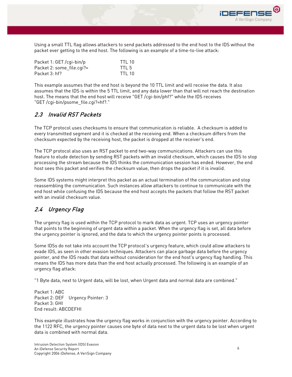

| Packet 1: GET / cgi-bin/p | TTI 10           |
|---------------------------|------------------|
| Packet 2: some file.cgi?= | TTI <sub>5</sub> |
| Packet 3: hf?             | TTI 10           |

This example assumes that the end host is beyond the 10 TTL limit and will receive the data. It also assumes that the IDS is within the 5 TTL limit, and any data lower than that will not reach the destination host. The means that the end host will receive "GET /cgi-bin/phf?" while the IDS receives "GET /cgi-bin/psome\_file.cgi?=hf?."

#### 2.3 Invalid RST Packets

The TCP protocol uses checksums to ensure that communication is reliable. A checksum is added to every transmitted segment and it is checked at the receiving end. When a checksum differs from the checksum expected by the receiving host, the packet is dropped at the receiver's end.

The TCP protocol also uses an RST packet to end two-way communications. Attackers can use this feature to elude detection by sending RST packets with an invalid checksum, which causes the IDS to stop processing the stream because the IDS thinks the communication session has ended. However, the end host sees this packet and verifies the checksum value, then drops the packet if it is invalid.

Some IDS systems might interpret this packet as an actual termination of the communication and stop reassembling the communication. Such instances allow attackers to continue to communicate with the end host while confusing the IDS because the end host accepts the packets that follow the RST packet with an invalid checksum value.

#### 2.4 Urgency Flag

The urgency flag is used within the TCP protocol to mark data as urgent. TCP uses an urgency pointer that points to the beginning of urgent data within a packet. When the urgency flag is set, all data before the urgency pointer is ignored, and the data to which the urgency pointer points is processed.

Some IDSs do not take into account the TCP protocol's urgency feature, which could allow attackers to evade IDS, as seen in other evasion techniques. Attackers can place garbage data before the urgency pointer, and the IDS reads that data without consideration for the end host's urgency flag handling. This means the IDS has more data than the end host actually processed. The following is an example of an urgency flag attack:

"1 Byte data, next to Urgent data, will be lost, when Urgent data and normal data are combined."

Packet 1: ABC Packet 2: DEF Urgency Pointer: 3 Packet 3: GHI End result: ABCDEFHI

This example illustrates how the urgency flag works in conjunction with the urgency pointer. According to the 1122 RFC, the urgency pointer causes one byte of data next to the urgent data to be lost when urgent data is combined with normal data.

A VeriSign Compan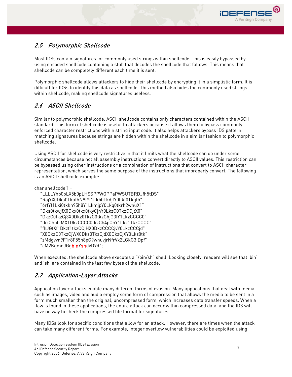

### 2.5 Polymorphic Shellcode

Most IDSs contain signatures for commonly used strings within shellcode. This is easily bypassed by using encoded shellcode containing a stub that decodes the shellcode that follows. This means that shellcode can be completely different each time it is sent.

Polymorphic shellcode allows attackers to hide their shellcode by encrypting it in a simplistic form. It is difficult for IDSs to identify this data as shellcode. This method also hides the commonly used strings within shellcode, making shellcode signatures useless.

### 2.6 ASCII Shellcode

Similar to polymorphic shellcode, ASCII shellcode contains only characters contained within the ASCII standard. This form of shellcode is useful to attackers because it allows them to bypass commonly enforced character restrictions within string input code. It also helps attackers bypass IDS pattern matching signatures because strings are hidden within the shellcode in a similar fashion to polymorphic shellcode.

Using ASCII for shellcode is very restrictive in that it limits what the shellcode can do under some circumstances because not all assembly instructions convert directly to ASCII values. This restriction can be bypassed using other instructions or a combination of instructions that convert to ASCII character representation, which serves the same purpose of the instructions that improperly convert. The following is an ASCII shellcode example:

char shellcode[] =

 "LLLLYhb0pLX5b0pLHSSPPWQPPaPWSUTBRDJfh5tDS" "RajYX0Dka0TkafhN9fYf1Lkb0TkdjfY0Lkf0Tkgfh" "6rfYf1Lki0tkkh95h8Y1LkmjpY0Lkq0tkrh2wnuX1" "Dks0tkwjfX0Dkx0tkx0tkyCjnY0LkzC0TkzCCjtX0" "DkzC0tkzCj3X0Dkz0TkzC0tkzChjG3IY1LkzCCCC0" "tkzChpfcMX1DkzCCCC0tkzCh4pCnY1Lkz1TkzCCCC" "fhJGfXf1Dkzf1tkzCCjHX0DkzCCCCjvY0LkzCCCjd" "X0DkzC0TkzCjWX0Dkz0TkzCjdX0DkzCjXY0Lkz0tk" "zMdgvvn9F1r8F55h8pG9wnuvjrNfrVx2LGkG3IDpf" "cM2KgmnJGgbinYshdvD9d";

When executed, the shellcode above executes a "/bin/sh" shell. Looking closely, readers will see that 'bin' and 'sh' are contained in the last few bytes of the shellcode.

#### 2.7 Application-Layer Attacks

Application layer attacks enable many different forms of evasion. Many applications that deal with media such as images, video and audio employ some form of compression that allows the media to be sent in a form much smaller than the original, uncompressed form, which increases data transfer speeds. When a flaw is found in these applications, the entire attack can occur within compressed data, and the IDS will have no way to check the compressed file format for signatures.

Many IDSs look for specific conditions that allow for an attack. However, there are times when the attack can take many different forms. For example, integer overflow vulnerabilities could be exploited using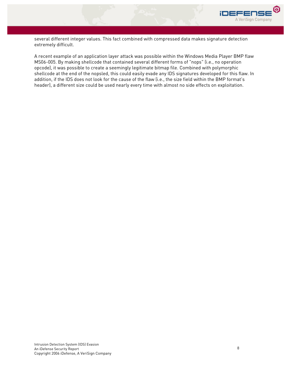

several different integer values. This fact combined with compressed data makes signature detection extremely difficult.

A recent example of an application layer attack was possible within the Windows Media Player BMP flaw MS06-005. By making shellcode that contained several different forms of "nops" (i.e., no operation opcode), it was possible to create a seemingly legitimate bitmap file. Combined with polymorphic shellcode at the end of the nopsled, this could easily evade any IDS signatures developed for this flaw. In addition, if the IDS does not look for the cause of the flaw (i.e., the size field within the BMP format's header), a different size could be used nearly every time with almost no side effects on exploitation.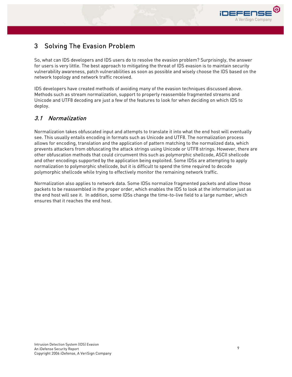

## 3 Solving The Evasion Problem

So, what can IDS developers and IDS users do to resolve the evasion problem? Surprisingly, the answer for users is very little. The best approach to mitigating the threat of IDS evasion is to maintain security vulnerability awareness, patch vulnerabilities as soon as possible and wisely choose the IDS based on the network topology and network traffic received.

IDS developers have created methods of avoiding many of the evasion techniques discussed above. Methods such as stream normalization, support to properly reassemble fragmented streams and Unicode and UTF8 decoding are just a few of the features to look for when deciding on which IDS to deploy.

#### 3.1 Normalization

Normalization takes obfuscated input and attempts to translate it into what the end host will eventually see. This usually entails encoding in formats such as Unicode and UTF8. The normalization process allows for encoding, translation and the application of pattern matching to the normalized data, which prevents attackers from obfuscating the attack strings using Unicode or UTF8 strings. However, there are other obfuscation methods that could circumvent this such as polymorphic shellcode, ASCII shellcode and other encodings supported by the application being exploited. Some IDSs are attempting to apply normalization to polymorphic shellcode, but it is difficult to spend the time required to decode polymorphic shellcode while trying to effectively monitor the remaining network traffic.

Normalization also applies to network data. Some IDSs normalize fragmented packets and allow those packets to be reassembled in the proper order, which enables the IDS to look at the information just as the end host will see it. In addition, some IDSs change the time-to-live field to a large number, which ensures that it reaches the end host.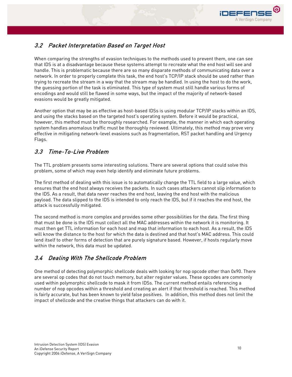

### 3.2 Packet Interpretation Based on Target Host

When comparing the strengths of evasion techniques to the methods used to prevent them, one can see that IDS is at a disadvantage because these systems attempt to recreate what the end host will see and handle. This is problematic because there are so many disparate methods of communicating data over a network. In order to properly complete this task, the end host's TCP/IP stack should be used rather than trying to recreate the stream in a way that the stream may be handled. In using the host to do the work, the guessing portion of the task is eliminated. This type of system must still handle various forms of encodings and would still be flawed in some ways, but the impact of the majority of network-based evasions would be greatly mitigated.

Another option that may be as effective as host-based IDSs is using modular TCP/IP stacks within an IDS, and using the stacks based on the targeted host's operating system. Before it would be practical, however, this method must be thoroughly researched. For example, the manner in which each operating system handles anomalous traffic must be thoroughly reviewed. Ultimately, this method may prove very effective in mitigating network-level evasions such as fragmentation, RST packet handling and Urgency Flags.

#### 3.3 Time-To-Live Problem

The TTL problem presents some interesting solutions. There are several options that could solve this problem, some of which may even help identify and eliminate future problems.

The first method of dealing with this issue is to automatically change the TTL field to a large value, which ensures that the end host always receives the packets. In such cases attackers cannot slip information to the IDS. As a result, that data never reaches the end host, leaving the end host with the malicious payload. The data slipped to the IDS is intended to only reach the IDS, but if it reaches the end host, the attack is successfully mitigated.

The second method is more complex and provides some other possibilities for the data. The first thing that must be done is the IDS must collect all the MAC addresses within the network it is monitoring. It must then get TTL information for each host and map that information to each host. As a result, the IDS will know the distance to the host for which the data is destined and that host's MAC address. This could lend itself to other forms of detection that are purely signature based. However, if hosts regularly move within the network, this data must be updated.

#### 3.4 Dealing With The Shellcode Problem

One method of detecting polymorphic shellcode deals with looking for nop opcode other than 0x90. There are several op codes that do not touch memory, but alter register values. These opcodes are commonly used within polymorphic shellcode to mask it from IDSs. The current method entails referencing a number of nop opcodes within a threshold and creating an alert if that threshold is reached. This method is fairly accurate, but has been known to yield false positives. In addition, this method does not limit the impact of shellcode and the creative things that attackers can do with it.